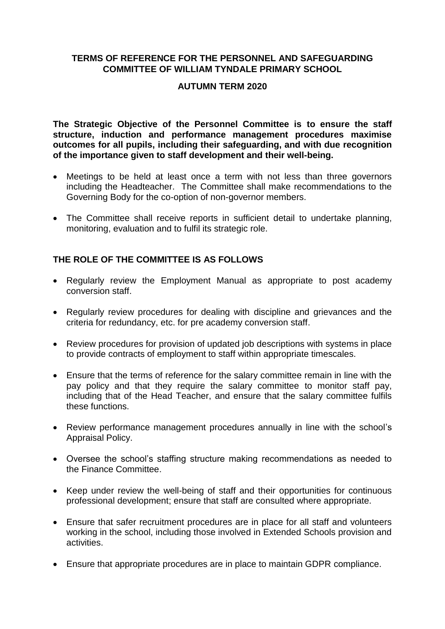## **TERMS OF REFERENCE FOR THE PERSONNEL AND SAFEGUARDING COMMITTEE OF WILLIAM TYNDALE PRIMARY SCHOOL**

## **AUTUMN TERM 2020**

**The Strategic Objective of the Personnel Committee is to ensure the staff structure, induction and performance management procedures maximise outcomes for all pupils, including their safeguarding, and with due recognition of the importance given to staff development and their well-being.**

- Meetings to be held at least once a term with not less than three governors including the Headteacher. The Committee shall make recommendations to the Governing Body for the co-option of non-governor members.
- The Committee shall receive reports in sufficient detail to undertake planning, monitoring, evaluation and to fulfil its strategic role.

## **THE ROLE OF THE COMMITTEE IS AS FOLLOWS**

- Regularly review the Employment Manual as appropriate to post academy conversion staff.
- Regularly review procedures for dealing with discipline and grievances and the criteria for redundancy, etc. for pre academy conversion staff.
- Review procedures for provision of updated job descriptions with systems in place to provide contracts of employment to staff within appropriate timescales.
- Ensure that the terms of reference for the salary committee remain in line with the pay policy and that they require the salary committee to monitor staff pay, including that of the Head Teacher, and ensure that the salary committee fulfils these functions.
- Review performance management procedures annually in line with the school's Appraisal Policy.
- Oversee the school's staffing structure making recommendations as needed to the Finance Committee.
- Keep under review the well-being of staff and their opportunities for continuous professional development; ensure that staff are consulted where appropriate.
- Ensure that safer recruitment procedures are in place for all staff and volunteers working in the school, including those involved in Extended Schools provision and activities.
- Ensure that appropriate procedures are in place to maintain GDPR compliance.